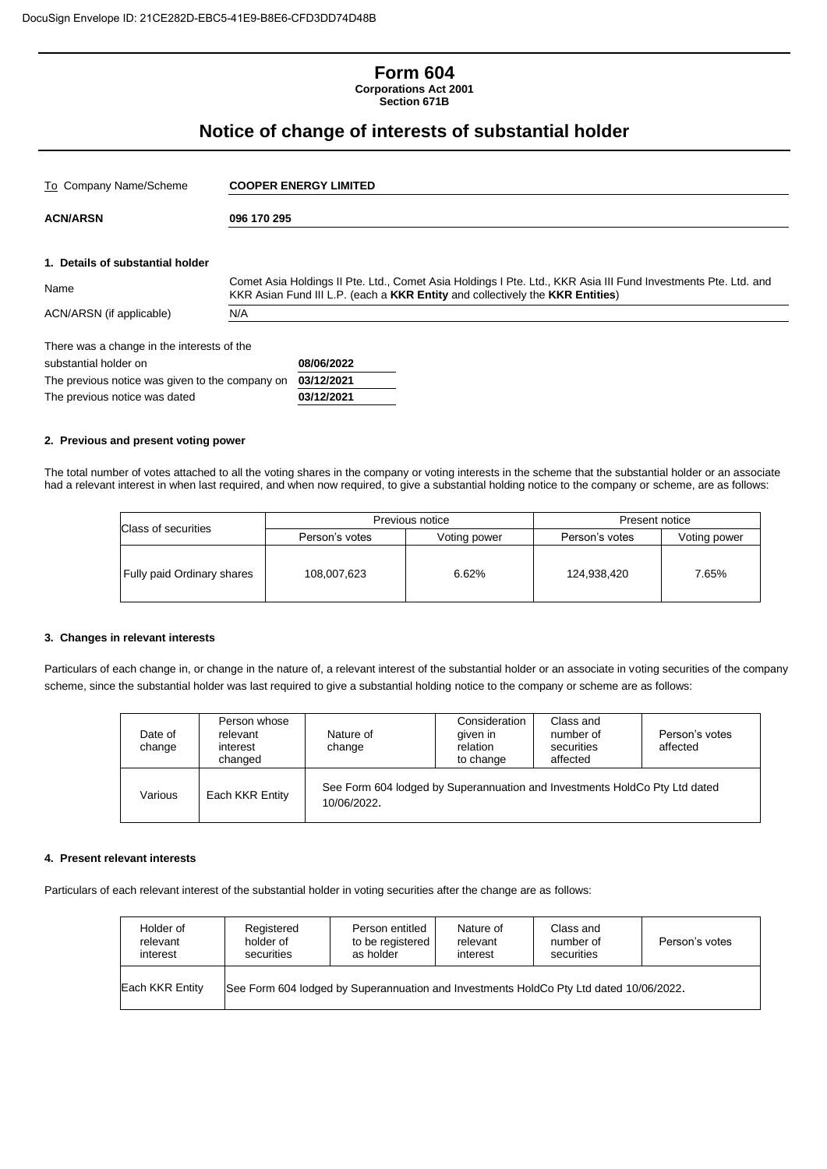## **Form 604 Corporations Act 2001**

**Section 671B**

# **Notice of change of interests of substantial holder**

| To Company Name/Scheme                          |             | <b>COOPER ENERGY LIMITED</b>                                                                                                                                                                    |  |  |  |  |
|-------------------------------------------------|-------------|-------------------------------------------------------------------------------------------------------------------------------------------------------------------------------------------------|--|--|--|--|
| <b>ACN/ARSN</b>                                 | 096 170 295 |                                                                                                                                                                                                 |  |  |  |  |
|                                                 |             |                                                                                                                                                                                                 |  |  |  |  |
| 1. Details of substantial holder                |             |                                                                                                                                                                                                 |  |  |  |  |
| Name                                            |             | Comet Asia Holdings II Pte. Ltd., Comet Asia Holdings I Pte. Ltd., KKR Asia III Fund Investments Pte. Ltd. and<br>KKR Asian Fund III L.P. (each a KKR Entity and collectively the KKR Entities) |  |  |  |  |
| ACN/ARSN (if applicable)                        | N/A         |                                                                                                                                                                                                 |  |  |  |  |
| There was a change in the interests of the      |             |                                                                                                                                                                                                 |  |  |  |  |
| substantial holder on                           |             | 08/06/2022                                                                                                                                                                                      |  |  |  |  |
| The previous notice was given to the company on |             | 03/12/2021                                                                                                                                                                                      |  |  |  |  |
| The previous notice was dated                   |             | 03/12/2021                                                                                                                                                                                      |  |  |  |  |

#### **2. Previous and present voting power**

The total number of votes attached to all the voting shares in the company or voting interests in the scheme that the substantial holder or an associate had a relevant interest in when last required, and when now required, to give a substantial holding notice to the company or scheme, are as follows:

| Class of securities        |                | Previous notice | Present notice |              |  |
|----------------------------|----------------|-----------------|----------------|--------------|--|
|                            | Person's votes | Voting power    | Person's votes | Voting power |  |
| Fully paid Ordinary shares | 108,007,623    | 6.62%           | 124.938.420    | 7.65%        |  |

#### **3. Changes in relevant interests**

Particulars of each change in, or change in the nature of, a relevant interest of the substantial holder or an associate in voting securities of the company scheme, since the substantial holder was last required to give a substantial holding notice to the company or scheme are as follows:

| Date of<br>change | Person whose<br>relevant<br>interest<br>changed | Nature of<br>change                                                                       | Consideration<br>given in<br>relation<br>to change | Class and<br>number of<br>securities<br>affected | Person's votes<br>affected |
|-------------------|-------------------------------------------------|-------------------------------------------------------------------------------------------|----------------------------------------------------|--------------------------------------------------|----------------------------|
| Various           | Each KKR Entity                                 | See Form 604 lodged by Superannuation and Investments HoldCo Pty Ltd dated<br>10/06/2022. |                                                    |                                                  |                            |

#### **4. Present relevant interests**

Particulars of each relevant interest of the substantial holder in voting securities after the change are as follows:

| Holder of       | Registered                                                                             | Person entitled  | Nature of | Class and  | Person's votes |  |
|-----------------|----------------------------------------------------------------------------------------|------------------|-----------|------------|----------------|--|
| relevant        | holder of                                                                              | to be registered | relevant  | number of  |                |  |
| interest        | securities                                                                             | as holder        | interest  | securities |                |  |
| Each KKR Entity | See Form 604 lodged by Superannuation and Investments HoldCo Pty Ltd dated 10/06/2022. |                  |           |            |                |  |